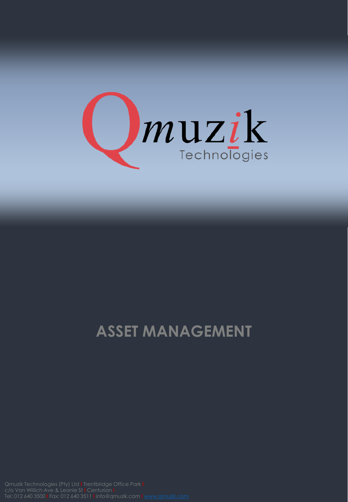

## **ASSET MANAGEMENT**